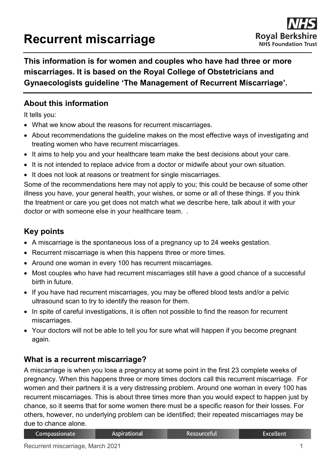# **Recurrent miscarriage**

**This information is for women and couples who have had three or more miscarriages. It is based on the Royal College of Obstetricians and Gynaecologists guideline 'The Management of Recurrent Miscarriage'.**

# **About this information**

It tells you:

- What we know about the reasons for recurrent miscarriages.
- About recommendations the guideline makes on the most effective ways of investigating and treating women who have recurrent miscarriages.
- It aims to help you and your healthcare team make the best decisions about your care.
- It is not intended to replace advice from a doctor or midwife about your own situation.
- It does not look at reasons or treatment for single miscarriages.

Some of the recommendations here may not apply to you; this could be because of some other illness you have, your general health, your wishes, or some or all of these things. If you think the treatment or care you get does not match what we describe here, talk about it with your doctor or with someone else in your healthcare team. .

# **Key points**

- A miscarriage is the spontaneous loss of a pregnancy up to 24 weeks gestation.
- Recurrent miscarriage is when this happens three or more times.
- Around one woman in every 100 has recurrent miscarriages.
- Most couples who have had recurrent miscarriages still have a good chance of a successful birth in future.
- If you have had recurrent miscarriages, you may be offered blood tests and/or a pelvic ultrasound scan to try to identify the reason for them.
- In spite of careful investigations, it is often not possible to find the reason for recurrent miscarriages.
- Your doctors will not be able to tell you for sure what will happen if you become pregnant again.

## **What is a recurrent miscarriage?**

A miscarriage is when you lose a pregnancy at some point in the first 23 complete weeks of pregnancy. When this happens three or more times doctors call this recurrent miscarriage. For women and their partners it is a very distressing problem. Around one woman in every 100 has recurrent miscarriages. This is about three times more than you would expect to happen just by chance, so it seems that for some women there must be a specific reason for their losses. For others, however, no underlying problem can be identified; their repeated miscarriages may be due to chance alone.

| Compassionate | Aspirational | Resourceful | Excellent |
|---------------|--------------|-------------|-----------|
|---------------|--------------|-------------|-----------|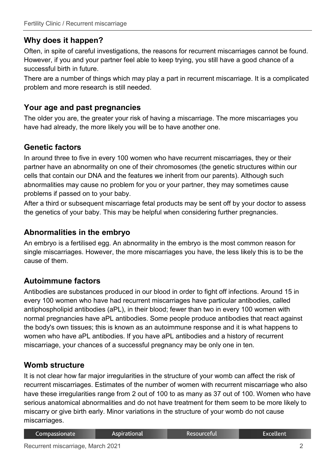# **Why does it happen?**

Often, in spite of careful investigations, the reasons for recurrent miscarriages cannot be found. However, if you and your partner feel able to keep trying, you still have a good chance of a successful birth in future.

There are a number of things which may play a part in recurrent miscarriage. It is a complicated problem and more research is still needed.

### **Your age and past pregnancies**

The older you are, the greater your risk of having a miscarriage. The more miscarriages you have had already, the more likely you will be to have another one.

## **Genetic factors**

In around three to five in every 100 women who have recurrent miscarriages, they or their partner have an abnormality on one of their chromosomes (the genetic structures within our cells that contain our DNA and the features we inherit from our parents). Although such abnormalities may cause no problem for you or your partner, they may sometimes cause problems if passed on to your baby.

After a third or subsequent miscarriage fetal products may be sent off by your doctor to assess the genetics of your baby. This may be helpful when considering further pregnancies.

#### **Abnormalities in the embryo**

An embryo is a fertilised egg. An abnormality in the embryo is the most common reason for single miscarriages. However, the more miscarriages you have, the less likely this is to be the cause of them.

## **Autoimmune factors**

Antibodies are substances produced in our blood in order to fight off infections. Around 15 in every 100 women who have had recurrent miscarriages have particular antibodies, called antiphospholipid antibodies (aPL), in their blood; fewer than two in every 100 women with normal pregnancies have aPL antibodies. Some people produce antibodies that react against the body's own tissues; this is known as an autoimmune response and it is what happens to women who have aPL antibodies. If you have aPL antibodies and a history of recurrent miscarriage, your chances of a successful pregnancy may be only one in ten.

#### **Womb structure**

It is not clear how far major irregularities in the structure of your womb can affect the risk of recurrent miscarriages. Estimates of the number of women with recurrent miscarriage who also have these irregularities range from 2 out of 100 to as many as 37 out of 100. Women who have serious anatomical abnormalities and do not have treatment for them seem to be more likely to miscarry or give birth early. Minor variations in the structure of your womb do not cause miscarriages.

| <b>Aspirational</b><br>Compassionate | Resourceful | <b>Excellent</b> |
|--------------------------------------|-------------|------------------|
|--------------------------------------|-------------|------------------|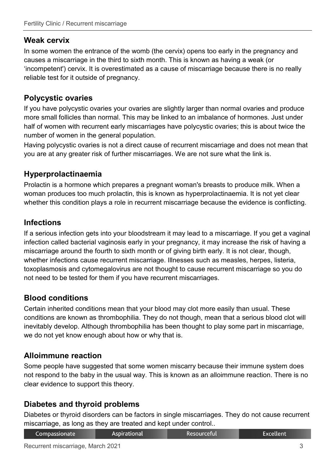## **Weak cervix**

In some women the entrance of the womb (the cervix) opens too early in the pregnancy and causes a miscarriage in the third to sixth month. This is known as having a weak (or 'incompetent') cervix. It is overestimated as a cause of miscarriage because there is no really reliable test for it outside of pregnancy.

## **Polycystic ovaries**

If you have polycystic ovaries your ovaries are slightly larger than normal ovaries and produce more small follicles than normal. This may be linked to an imbalance of hormones. Just under half of women with recurrent early miscarriages have polycystic ovaries; this is about twice the number of women in the general population.

Having polycystic ovaries is not a direct cause of recurrent miscarriage and does not mean that you are at any greater risk of further miscarriages. We are not sure what the link is.

# **Hyperprolactinaemia**

Prolactin is a hormone which prepares a pregnant woman's breasts to produce milk. When a woman produces too much prolactin, this is known as hyperprolactinaemia. It is not yet clear whether this condition plays a role in recurrent miscarriage because the evidence is conflicting.

## **Infections**

If a serious infection gets into your bloodstream it may lead to a miscarriage. If you get a vaginal infection called bacterial vaginosis early in your pregnancy, it may increase the risk of having a miscarriage around the fourth to sixth month or of giving birth early. It is not clear, though, whether infections cause recurrent miscarriage. Illnesses such as measles, herpes, listeria, toxoplasmosis and cytomegalovirus are not thought to cause recurrent miscarriage so you do not need to be tested for them if you have recurrent miscarriages.

## **Blood conditions**

Certain inherited conditions mean that your blood may clot more easily than usual. These conditions are known as thrombophilia. They do not though, mean that a serious blood clot will inevitably develop. Although thrombophilia has been thought to play some part in miscarriage, we do not yet know enough about how or why that is.

#### **Alloimmune reaction**

Some people have suggested that some women miscarry because their immune system does not respond to the baby in the usual way. This is known as an alloimmune reaction. There is no clear evidence to support this theory.

## **Diabetes and thyroid problems**

Diabetes or thyroid disorders can be factors in single miscarriages. They do not cause recurrent miscarriage, as long as they are treated and kept under control..

| <b>Aspirational</b><br>Compassionate | Resourceful | Excellent |
|--------------------------------------|-------------|-----------|
|--------------------------------------|-------------|-----------|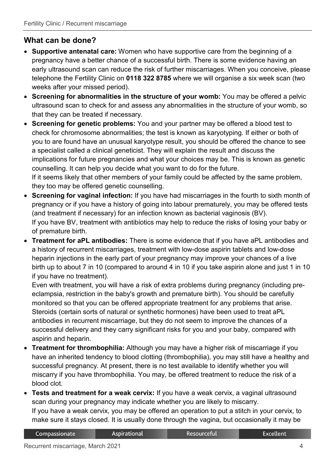# **What can be done?**

- **Supportive antenatal care:** Women who have supportive care from the beginning of a pregnancy have a better chance of a successful birth. There is some evidence having an early ultrasound scan can reduce the risk of further miscarriages. When you conceive, please telephone the Fertility Clinic on **0118 322 8785** where we will organise a six week scan (two weeks after your missed period).
- **Screening for abnormalities in the structure of your womb:** You may be offered a pelvic ultrasound scan to check for and assess any abnormalities in the structure of your womb, so that they can be treated if necessary.
- **Screening for genetic problems:** You and your partner may be offered a blood test to check for chromosome abnormalities; the test is known as karyotyping. If either or both of you to are found have an unusual karyotype result, you should be offered the chance to see a specialist called a clinical geneticist. They will explain the result and discuss the implications for future pregnancies and what your choices may be. This is known as genetic counselling. It can help you decide what you want to do for the future. If it seems likely that other members of your family could be affected by the same problem, they too may be offered genetic counselling.
- **Screening for vaginal infection:** If you have had miscarriages in the fourth to sixth month of pregnancy or if you have a history of going into labour prematurely, you may be offered tests (and treatment if necessary) for an infection known as bacterial vaginosis (BV). If you have BV, treatment with antibiotics may help to reduce the risks of losing your baby or of premature birth.
- **Treatment for aPL antibodies:** There is some evidence that if you have aPL antibodies and a history of recurrent miscarriages, treatment with low-dose aspirin tablets and low-dose heparin injections in the early part of your pregnancy may improve your chances of a live birth up to about 7 in 10 (compared to around 4 in 10 if you take aspirin alone and just 1 in 10 if you have no treatment).

Even with treatment, you will have a risk of extra problems during pregnancy (including preeclampsia, restriction in the baby's growth and premature birth). You should be carefully monitored so that you can be offered appropriate treatment for any problems that arise. Steroids (certain sorts of natural or synthetic hormones) have been used to treat aPL antibodies in recurrent miscarriage, but they do not seem to improve the chances of a successful delivery and they carry significant risks for you and your baby, compared with aspirin and heparin.

- **Treatment for thrombophilia:** Although you may have a higher risk of miscarriage if you have an inherited tendency to blood clotting (thrombophilia), you may still have a healthy and successful pregnancy. At present, there is no test available to identify whether you will miscarry if you have thrombophilia. You may, be offered treatment to reduce the risk of a blood clot.
- **Tests and treatment for a weak cervix:** If you have a weak cervix, a vaginal ultrasound scan during your pregnancy may indicate whether you are likely to miscarry. If you have a weak cervix, you may be offered an operation to put a stitch in your cervix, to make sure it stays closed. It is usually done through the vagina, but occasionally it may be

**Aspirational** 

**Excellent**